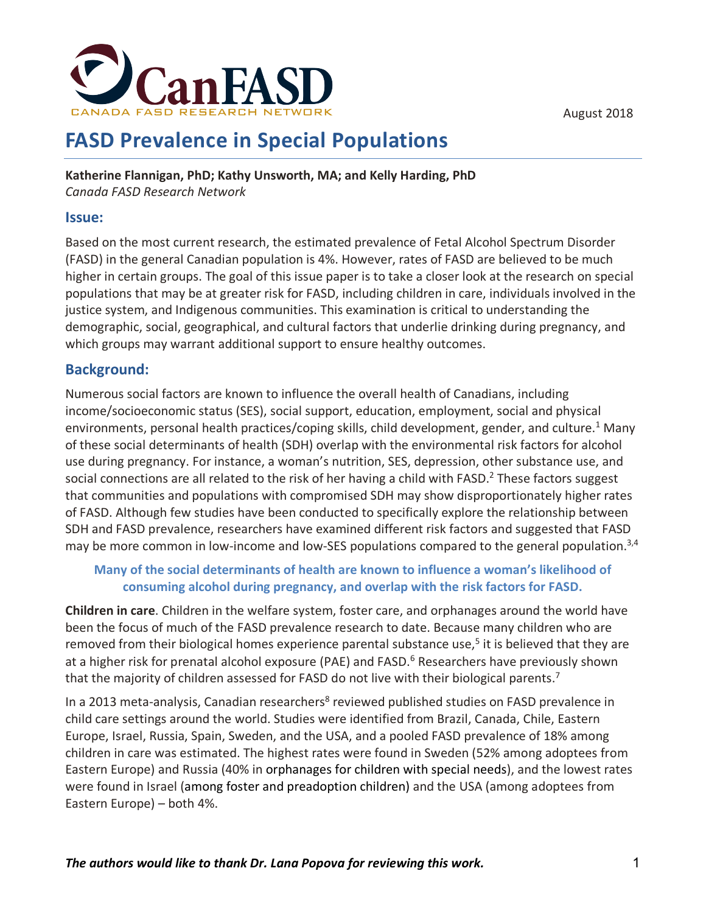August 2018



# **FASD Prevalence in Special Populations**

**Katherine Flannigan, PhD; Kathy Unsworth, MA; and Kelly Harding, PhD** *Canada FASD Research Network*

#### **Issue:**

Based on the most current research, the estimated prevalence of Fetal Alcohol Spectrum Disorder (FASD) in the general Canadian population is 4%. However, rates of FASD are believed to be much higher in certain groups. The goal of this issue paper is to take a closer look at the research on special populations that may be at greater risk for FASD, including children in care, individuals involved in the justice system, and Indigenous communities. This examination is critical to understanding the demographic, social, geographical, and cultural factors that underlie drinking during pregnancy, and which groups may warrant additional support to ensure healthy outcomes.

### **Background:**

Numerous social factors are known to influence the overall health of Canadians, including income/socioeconomic status (SES), social support, education, employment, social and physical environments, personal health practices/coping skills, child development, gender, and culture.<sup>1</sup> Many of these social determinants of health (SDH) overlap with the environmental risk factors for alcohol use during pregnancy. For instance, a woman's nutrition, SES, depression, other substance use, and social connections are all related to the risk of her having a child with FASD.<sup>2</sup> These factors suggest that communities and populations with compromised SDH may show disproportionately higher rates of FASD. Although few studies have been conducted to specifically explore the relationship between SDH and FASD prevalence, researchers have examined different risk factors and suggested that FASD may be more common in low-income and low-SES populations compared to the general population.<sup>3,4</sup>

### **Many of the social determinants of health are known to influence a woman's likelihood of consuming alcohol during pregnancy, and overlap with the risk factors for FASD.**

**Children in care**. Children in the welfare system, foster care, and orphanages around the world have been the focus of much of the FASD prevalence research to date. Because many children who are removed from their biological homes experience parental substance use,<sup>5</sup> it is believed that they are at a higher risk for prenatal alcohol exposure (PAE) and FASD. <sup>6</sup> Researchers have previously shown that the majority of children assessed for FASD do not live with their biological parents.<sup>7</sup>

In a 2013 meta-analysis, Canadian researchers<sup>8</sup> reviewed published studies on FASD prevalence in child care settings around the world. Studies were identified from Brazil, Canada, Chile, Eastern Europe, Israel, Russia, Spain, Sweden, and the USA, and a pooled FASD prevalence of 18% among children in care was estimated. The highest rates were found in Sweden (52% among adoptees from Eastern Europe) and Russia (40% in orphanages for children with special needs), and the lowest rates were found in Israel (among foster and preadoption children) and the USA (among adoptees from Eastern Europe) – both 4%.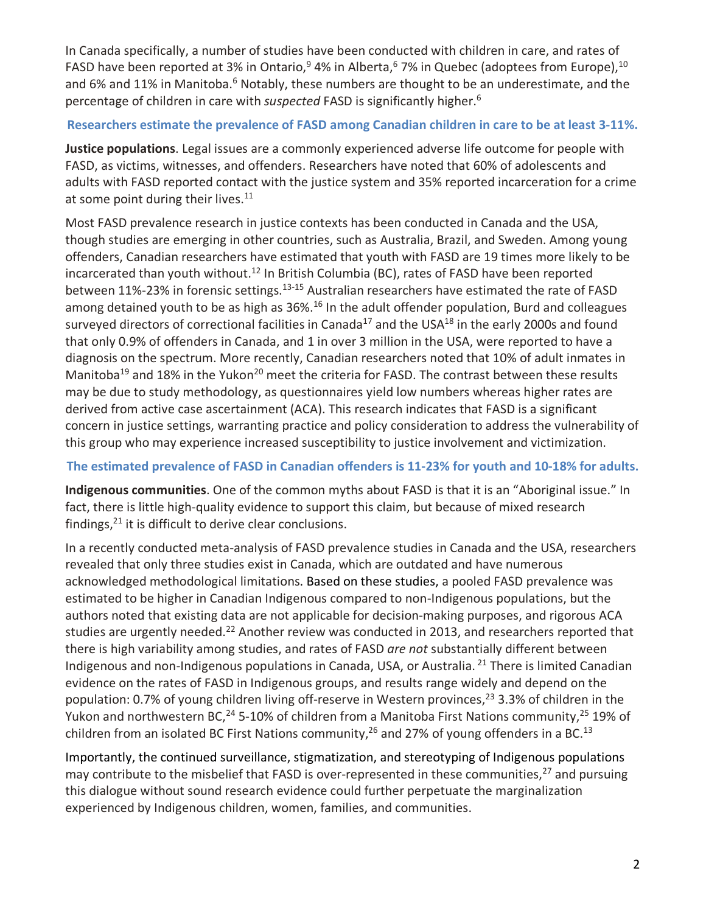In Canada specifically, a number of studies have been conducted with children in care, and rates of FASD have been reported at 3% in Ontario,<sup>9</sup> 4% in Alberta,<sup>6</sup> 7% in Quebec (adoptees from Europe), <sup>10</sup> and 6% and 11% in Manitoba.<sup>6</sup> Notably, these numbers are thought to be an underestimate, and the percentage of children in care with *suspected* FASD is significantly higher. 6

#### **Researchers estimate the prevalence of FASD among Canadian children in care to be at least 3-11%.**

**Justice populations**. Legal issues are a commonly experienced adverse life outcome for people with FASD, as victims, witnesses, and offenders. Researchers have noted that 60% of adolescents and adults with FASD reported contact with the justice system and 35% reported incarceration for a crime at some point during their lives.<sup>11</sup>

Most FASD prevalence research in justice contexts has been conducted in Canada and the USA, though studies are emerging in other countries, such as Australia, Brazil, and Sweden. Among young offenders, Canadian researchers have estimated that youth with FASD are 19 times more likely to be incarcerated than youth without.<sup>12</sup> In British Columbia (BC), rates of FASD have been reported between 11%-23% in forensic settings.<sup>13-15</sup> Australian researchers have estimated the rate of FASD among detained youth to be as high as 36%.<sup>16</sup> In the adult offender population, Burd and colleagues surveyed directors of correctional facilities in Canada<sup>17</sup> and the USA<sup>18</sup> in the early 2000s and found that only 0.9% of offenders in Canada, and 1 in over 3 million in the USA, were reported to have a diagnosis on the spectrum. More recently, Canadian researchers noted that 10% of adult inmates in Manitoba<sup>19</sup> and 18% in the Yukon<sup>20</sup> meet the criteria for FASD. The contrast between these results may be due to study methodology, as questionnaires yield low numbers whereas higher rates are derived from active case ascertainment (ACA). This research indicates that FASD is a significant concern in justice settings, warranting practice and policy consideration to address the vulnerability of this group who may experience increased susceptibility to justice involvement and victimization.

### **The estimated prevalence of FASD in Canadian offenders is 11-23% for youth and 10-18% for adults.**

**Indigenous communities**. One of the common myths about FASD is that it is an "Aboriginal issue." In fact, there is little high-quality evidence to support this claim, but because of mixed research findings, <sup>21</sup> it is difficult to derive clear conclusions.

In a recently conducted meta-analysis of FASD prevalence studies in Canada and the USA, researchers revealed that only three studies exist in Canada, which are outdated and have numerous acknowledged methodological limitations. Based on these studies, a pooled FASD prevalence was estimated to be higher in Canadian Indigenous compared to non-Indigenous populations, but the authors noted that existing data are not applicable for decision-making purposes, and rigorous ACA studies are urgently needed.<sup>22</sup> Another review was conducted in 2013, and researchers reported that there is high variability among studies, and rates of FASD *are not* substantially different between Indigenous and non-Indigenous populations in Canada, USA, or Australia. <sup>21</sup> There is limited Canadian evidence on the rates of FASD in Indigenous groups, and results range widely and depend on the population: 0.7% of young children living off-reserve in Western provinces,<sup>23</sup> 3.3% of children in the Yukon and northwestern BC,<sup>24</sup> 5-10% of children from a Manitoba First Nations community,<sup>25</sup> 19% of children from an isolated BC First Nations community,<sup>26</sup> and 27% of young offenders in a BC.<sup>13</sup>

Importantly, the continued surveillance, stigmatization, and stereotyping of Indigenous populations may contribute to the misbelief that FASD is over-represented in these communities,<sup>27</sup> and pursuing this dialogue without sound research evidence could further perpetuate the marginalization experienced by Indigenous children, women, families, and communities.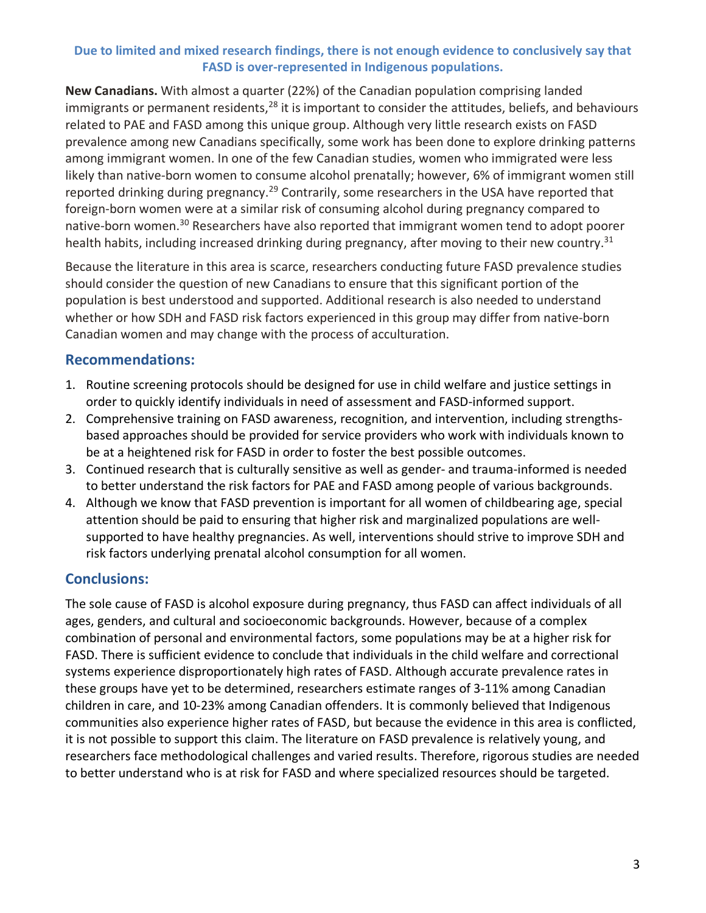#### **Due to limited and mixed research findings, there is not enough evidence to conclusively say that FASD is over-represented in Indigenous populations.**

**New Canadians.** With almost a quarter (22%) of the Canadian population comprising landed immigrants or permanent residents,<sup>28</sup> it is important to consider the attitudes, beliefs, and behaviours related to PAE and FASD among this unique group. Although very little research exists on FASD prevalence among new Canadians specifically, some work has been done to explore drinking patterns among immigrant women. In one of the few Canadian studies, women who immigrated were less likely than native-born women to consume alcohol prenatally; however, 6% of immigrant women still reported drinking during pregnancy.<sup>29</sup> Contrarily, some researchers in the USA have reported that foreign-born women were at a similar risk of consuming alcohol during pregnancy compared to native-born women.<sup>30</sup> Researchers have also reported that immigrant women tend to adopt poorer health habits, including increased drinking during pregnancy, after moving to their new country.<sup>31</sup>

Because the literature in this area is scarce, researchers conducting future FASD prevalence studies should consider the question of new Canadians to ensure that this significant portion of the population is best understood and supported. Additional research is also needed to understand whether or how SDH and FASD risk factors experienced in this group may differ from native-born Canadian women and may change with the process of acculturation.

# **Recommendations:**

- 1. Routine screening protocols should be designed for use in child welfare and justice settings in order to quickly identify individuals in need of assessment and FASD-informed support.
- 2. Comprehensive training on FASD awareness, recognition, and intervention, including strengthsbased approaches should be provided for service providers who work with individuals known to be at a heightened risk for FASD in order to foster the best possible outcomes.
- 3. Continued research that is culturally sensitive as well as gender- and trauma-informed is needed to better understand the risk factors for PAE and FASD among people of various backgrounds.
- 4. Although we know that FASD prevention is important for all women of childbearing age, special attention should be paid to ensuring that higher risk and marginalized populations are wellsupported to have healthy pregnancies. As well, interventions should strive to improve SDH and risk factors underlying prenatal alcohol consumption for all women.

# **Conclusions:**

The sole cause of FASD is alcohol exposure during pregnancy, thus FASD can affect individuals of all ages, genders, and cultural and socioeconomic backgrounds. However, because of a complex combination of personal and environmental factors, some populations may be at a higher risk for FASD. There is sufficient evidence to conclude that individuals in the child welfare and correctional systems experience disproportionately high rates of FASD. Although accurate prevalence rates in these groups have yet to be determined, researchers estimate ranges of 3-11% among Canadian children in care, and 10-23% among Canadian offenders. It is commonly believed that Indigenous communities also experience higher rates of FASD, but because the evidence in this area is conflicted, it is not possible to support this claim. The literature on FASD prevalence is relatively young, and researchers face methodological challenges and varied results. Therefore, rigorous studies are needed to better understand who is at risk for FASD and where specialized resources should be targeted.